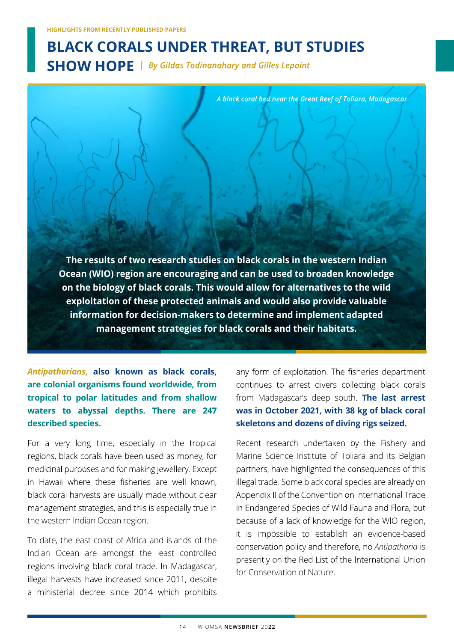# BLACK CORALS UNDER THREAT, BUT STUDIES HIGHLIGHTS FROM RECENTLY PUBLISHED PAPERS<br>SHOW HOPE | By Gildas Todinanahary and Gilles Lepoint<br>A black coral bed near the Great Reef of

The results of two research studies on black corals in the western Indian Ocean (WIO) region are encouraging and can be used to broaden knowledge on the biology of black corals. This would allow for alternatives to the wild exploitation of these protected animals and would also provide valuable information for decision-makers to determine and implement adapted management strategies for black corals and their habitats.

are colonial organisms found worldwide, from continues to arrest divers collecting black corals tropical to polar latitudes and from shallow waters to abyssal depths. There are 247 described species.

For a very long time, especially in the tropical regions, black corals have been used as money, for medicinal purposes and for making jewellery. Except in Hawaii where these fisheries are well known, black coral harvests are usually made without clear management strategies, and this is especially true in the western Indian Ocean region.

To date, the east coast of Africa and islands of the Indian Ocean are amongst the least controlled<br>presently on the Red List of the International Union regions involving black coral trade. In Madagascar, illegal harvests have increased since 2011, despite a ministerial decree since 2014 which prohibits

**Antipatharians, also known as black corals,** any form of exploitation. The fisheries department from Madagascar's deep south. The last arrest was in October 2021, with 38 kg of black coral skeletons and dozens of diving rigs seized.

> Recent research undertaken by the Fishery and Marine Science Institute of Toliara and its Belgian partners, have highlighted the consequences of this illegal trade. Some black coral species are already on Appendix II of the Convention on International Trade in Endangered Species of Wild Fauna and Flora, but because of a lack of knowledge for the WIO region, it is impossible to establish an evidence-based conservation policy and therefore, no Antipatharia is for Conservation of Nature.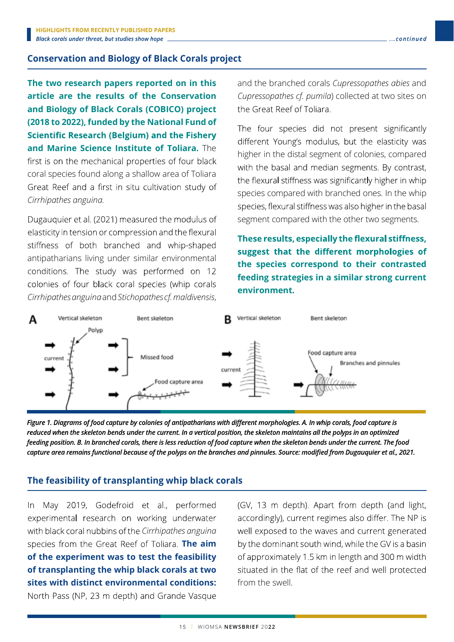## Conservation and Biology of Black Corals project

The two research papers reported on in this article are the results of the Conservation and Biology of Black Corals (COBICO) project the Great Reef of Toliara. (2018 to 2022), funded by the National Fund of<br>
The four species did not present significantly **Scientific Research (Belgium) and the Fishery** and Marine Science Institute of Toliara. The the state of the state of Toliara and Marine Science Institute of Toliara. The first is on the mechanical properties of four black mot is on the mechanical properties of idea back<br>coral species found along a shallow area of Toliara<br>the flexural stiffness was significantly higher in whip Great Reef and a first in situ cultivation study of Cirrhipathes anguina.

Dugauquier et al. (2021) measured the modulus of elasticity in tension or compression and the flexural stiffness of both branched and whip-shaped conditions. The study was performed on 12 colonies of four black coral species (whip corals Cirrhipathes anguina and Stichopathes cf. maldivensis,

and the branched corals Cupressopathes abies and Cupressopathes cf. pumila) collected at two sites on

higher in the distal segment of colonies, compared species compared with branched ones. In the whip species, flexural stiffness was also higher in the basal segment compared with the other two segments.

These results, especially the flexural stiffness, antipatharians living under similar environmental and suggest that the different morphologies of the species correspond to their contrasted feeding strategies in a similar strong current environment.



Figure 1. Diagrams of food capture by colonies of antipatharians with different morphologies. A. In whip corals, food capture is reduced when the skeleton bends under the current. In a vertical position, the skeleton maintains all the polyps in an optimized feeding position. B. In branched corals, there is less reduction of food capture when the skeleton bends under the current. The food capture area remains functional because of the polyps on the branches and pinnules. Source: modified from Dugauquier et al., 2021.

# The feasibility of transplanting whip black corals

In May 2019, Godefroid et al., performed experimental research on working underwater with black coral nubbins of the Cirrhipathes anguina well exposed to the waves and current generated species from the Great Reef of Toliara. The  $\lim$  by the dominant south wind, while the GV is a basin of the experiment was to test the feasibility of approximately 1.5 km in length and 300 m width of transplanting the whip black corals at two situated in the flat of the reef and well protected sites with distinct environmental conditions: North Pass (NP, 23 m depth) and Grande Vasque

(GV, 13 m depth). Apart from depth (and light, accordingly), current regimes also differ. The NP is from the swell.